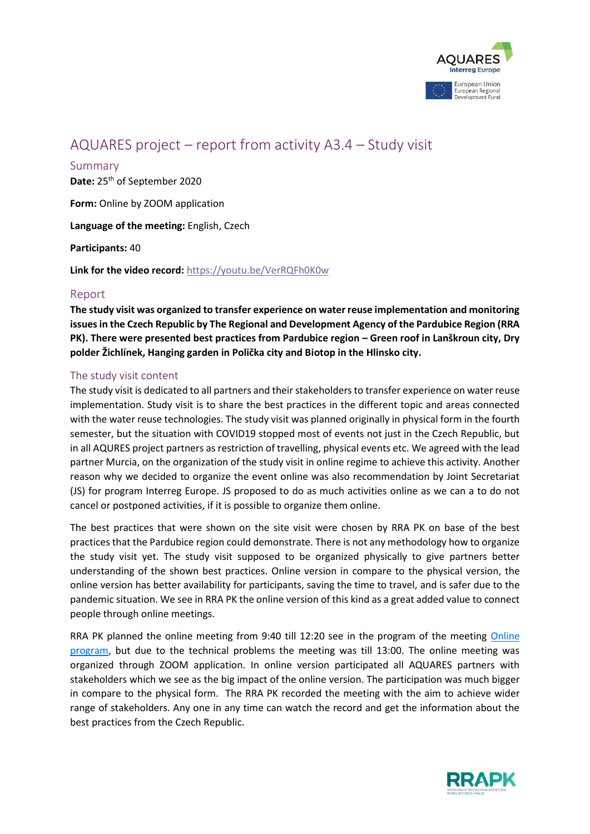

# AQUARES project – report from activity A3.4 – Study visit

## Summary

Date: 25<sup>th</sup> of September 2020

**Form:** Online by ZOOM application

**Language of the meeting:** English, Czech

**Participants:** 40

**Link for the video record:** <https://youtu.be/VerRQFh0K0w>

# Report

**The study visit was organized to transfer experience on water reuse implementation and monitoring issues in the Czech Republic by The Regional and Development Agency of the Pardubice Region (RRA PK). There were presented best practices from Pardubice region – Green roof in Lanškroun city, Dry polder Žichlínek, Hanging garden in Polička city and Biotop in the Hlinsko city.** 

# The study visit content

The study visit is dedicated to all partners and their stakeholders to transfer experience on water reuse implementation. Study visit is to share the best practices in the different topic and areas connected with the water reuse technologies. The study visit was planned originally in physical form in the fourth semester, but the situation with COVID19 stopped most of events not just in the Czech Republic, but in all AQURES project partners as restriction of travelling, physical events etc. We agreed with the lead partner Murcia, on the organization of the study visit in online regime to achieve this activity. Another reason why we decided to organize the event online was also recommendation by Joint Secretariat (JS) for program Interreg Europe. JS proposed to do as much activities online as we can a to do not cancel or postponed activities, if it is possible to organize them online.

The best practices that were shown on the site visit were chosen by RRA PK on base of the best practices that the Pardubice region could demonstrate. There is not any methodology how to organize the study visit yet. The study visit supposed to be organized physically to give partners better understanding of the shown best practices. Online version in compare to the physical version, the online version has better availability for participants, saving the time to travel, and is safer due to the pandemic situation. We see in RRA PK the online version of this kind as a great added value to connect people through online meetings.

RRA PK planned the online meeting from 9:40 till 12:20 see in the program of the meeting [Online](#page-1-0)  [program,](#page-1-0) but due to the technical problems the meeting was till 13:00. The online meeting was organized through ZOOM application. In online version participated all AQUARES partners with stakeholders which we see as the big impact of the online version. The participation was much bigger in compare to the physical form. The RRA PK recorded the meeting with the aim to achieve wider range of stakeholders. Any one in any time can watch the record and get the information about the best practices from the Czech Republic.

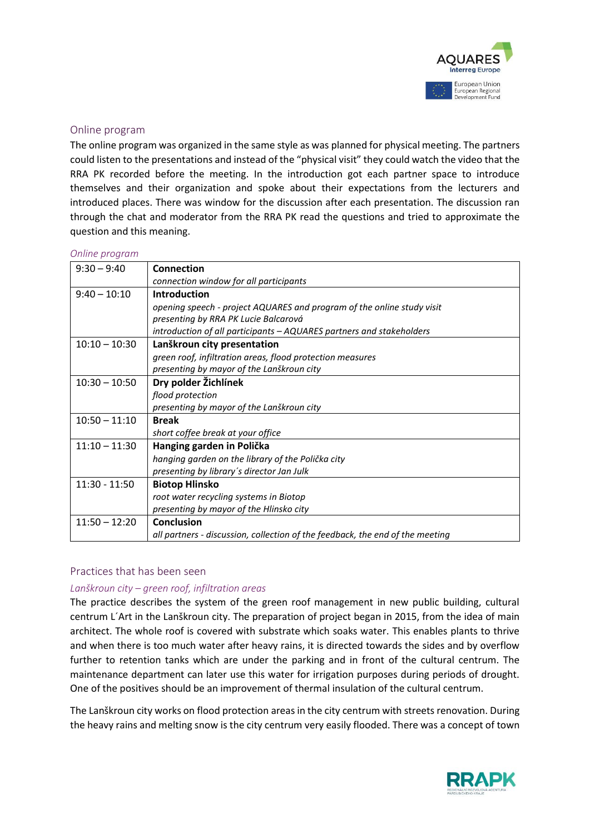

#### <span id="page-1-0"></span>Online program

The online program was organized in the same style as was planned for physical meeting. The partners could listen to the presentations and instead of the "physical visit" they could watch the video that the RRA PK recorded before the meeting. In the introduction got each partner space to introduce themselves and their organization and spoke about their expectations from the lecturers and introduced places. There was window for the discussion after each presentation. The discussion ran through the chat and moderator from the RRA PK read the questions and tried to approximate the question and this meaning.

#### *Online program*

| $9:30 - 9:40$   | <b>Connection</b>                                                             |
|-----------------|-------------------------------------------------------------------------------|
|                 | connection window for all participants                                        |
| $9:40 - 10:10$  | <b>Introduction</b>                                                           |
|                 | opening speech - project AQUARES and program of the online study visit        |
|                 | presenting by RRA PK Lucie Balcarová                                          |
|                 | introduction of all participants - AQUARES partners and stakeholders          |
| $10:10 - 10:30$ | Lanškroun city presentation                                                   |
|                 | green roof, infiltration areas, flood protection measures                     |
|                 | presenting by mayor of the Lanškroun city                                     |
| $10:30 - 10:50$ | Dry polder Žichlínek                                                          |
|                 | flood protection                                                              |
|                 | presenting by mayor of the Lanškroun city                                     |
| $10:50 - 11:10$ | <b>Break</b>                                                                  |
|                 | short coffee break at your office                                             |
| $11:10 - 11:30$ | Hanging garden in Polička                                                     |
|                 | hanging garden on the library of the Polička city                             |
|                 | presenting by library's director Jan Julk                                     |
| $11:30 - 11:50$ | <b>Biotop Hlinsko</b>                                                         |
|                 | root water recycling systems in Biotop                                        |
|                 | presenting by mayor of the Hlinsko city                                       |
| $11:50 - 12:20$ | <b>Conclusion</b>                                                             |
|                 | all partners - discussion, collection of the feedback, the end of the meeting |

#### Practices that has been seen

#### *Lanškroun city – green roof, infiltration areas*

The practice describes the system of the green roof management in new public building, cultural centrum L´Art in the Lanškroun city. The preparation of project began in 2015, from the idea of main architect. The whole roof is covered with substrate which soaks water. This enables plants to thrive and when there is too much water after heavy rains, it is directed towards the sides and by overflow further to retention tanks which are under the parking and in front of the cultural centrum. The maintenance department can later use this water for irrigation purposes during periods of drought. One of the positives should be an improvement of thermal insulation of the cultural centrum.

The Lanškroun city works on flood protection areas in the city centrum with streets renovation. During the heavy rains and melting snow is the city centrum very easily flooded. There was a concept of town

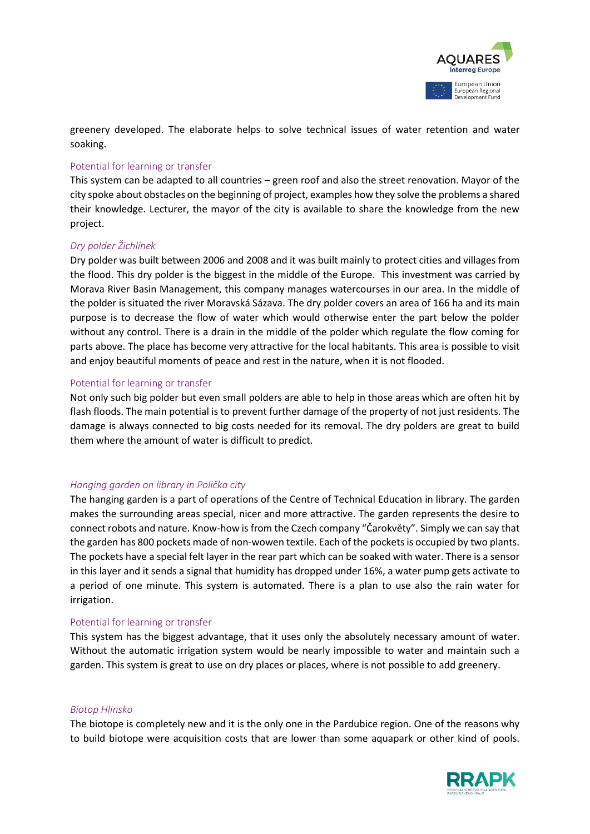

greenery developed. The elaborate helps to solve technical issues of water retention and water soaking.

## Potential for learning or transfer

This system can be adapted to all countries – green roof and also the street renovation. Mayor of the city spoke about obstacles on the beginning of project, examples how they solve the problems a shared their knowledge. Lecturer, the mayor of the city is available to share the knowledge from the new project.

#### *Dry polder Žichlínek*

Dry polder was built between 2006 and 2008 and it was built mainly to protect cities and villages from the flood. This dry polder is the biggest in the middle of the Europe. This investment was carried by Morava River Basin Management, this company manages watercourses in our area. In the middle of the polder is situated the river Moravská Sázava. The dry polder covers an area of 166 ha and its main purpose is to decrease the flow of water which would otherwise enter the part below the polder without any control. There is a drain in the middle of the polder which regulate the flow coming for parts above. The place has become very attractive for the local habitants. This area is possible to visit and enjoy beautiful moments of peace and rest in the nature, when it is not flooded.

#### Potential for learning or transfer

Not only such big polder but even small polders are able to help in those areas which are often hit by flash floods. The main potential is to prevent further damage of the property of not just residents. The damage is always connected to big costs needed for its removal. The dry polders are great to build them where the amount of water is difficult to predict.

#### *Hanging garden on library in Polička city*

The hanging garden is a part of operations of the Centre of Technical Education in library. The garden makes the surrounding areas special, nicer and more attractive. The garden represents the desire to connect robots and nature. Know-how is from the Czech company "Čarokvěty". Simply we can say that the garden has 800 pockets made of non-wowen textile. Each of the pockets is occupied by two plants. The pockets have a special felt layer in the rear part which can be soaked with water. There is a sensor in this layer and it sends a signal that humidity has dropped under 16%, a water pump gets activate to a period of one minute. This system is automated. There is a plan to use also the rain water for irrigation.

#### Potential for learning or transfer

This system has the biggest advantage, that it uses only the absolutely necessary amount of water. Without the automatic irrigation system would be nearly impossible to water and maintain such a garden. This system is great to use on dry places or places, where is not possible to add greenery.

#### *Biotop Hlinsko*

The biotope is completely new and it is the only one in the Pardubice region. One of the reasons why to build biotope were acquisition costs that are lower than some aquapark or other kind of pools.

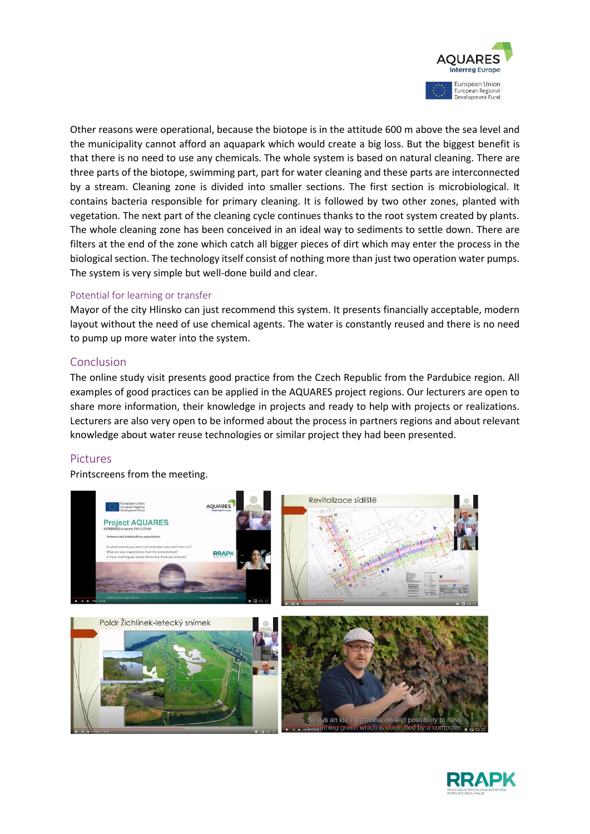

Other reasons were operational, because the biotope is in the attitude 600 m above the sea level and the municipality cannot afford an aquapark which would create a big loss. But the biggest benefit is that there is no need to use any chemicals. The whole system is based on natural cleaning. There are three parts of the biotope, swimming part, part for water cleaning and these parts are interconnected by a stream. Cleaning zone is divided into smaller sections. The first section is microbiological. It contains bacteria responsible for primary cleaning. It is followed by two other zones, planted with vegetation. The next part of the cleaning cycle continues thanks to the root system created by plants. The whole cleaning zone has been conceived in an ideal way to sediments to settle down. There are filters at the end of the zone which catch all bigger pieces of dirt which may enter the process in the biological section. The technology itself consist of nothing more than just two operation water pumps. The system is very simple but well-done build and clear.

#### Potential for learning or transfer

Mayor of the city Hlinsko can just recommend this system. It presents financially acceptable, modern layout without the need of use chemical agents. The water is constantly reused and there is no need to pump up more water into the system.

# Conclusion

The online study visit presents good practice from the Czech Republic from the Pardubice region. All examples of good practices can be applied in the AQUARES project regions. Our lecturers are open to share more information, their knowledge in projects and ready to help with projects or realizations. Lecturers are also very open to be informed about the process in partners regions and about relevant knowledge about water reuse technologies or similar project they had been presented.

# Pictures

Printscreens from the meeting.



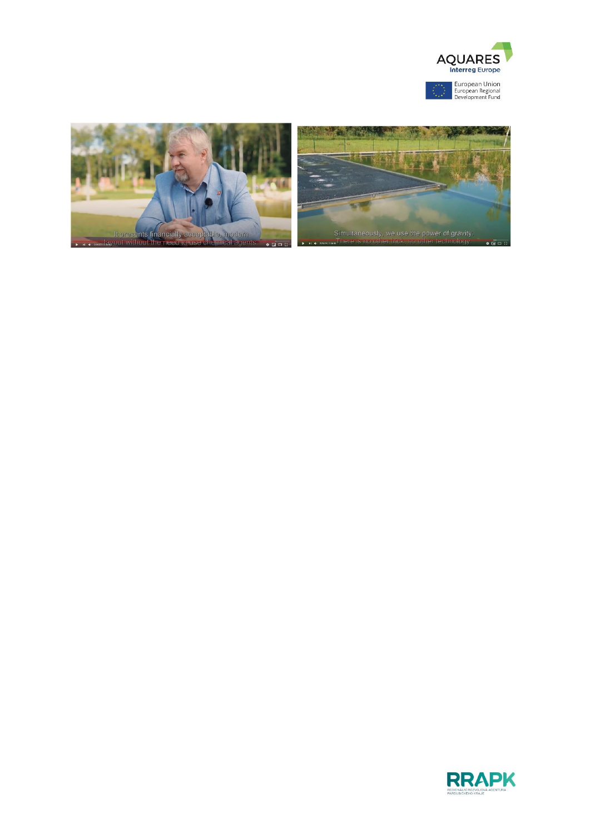



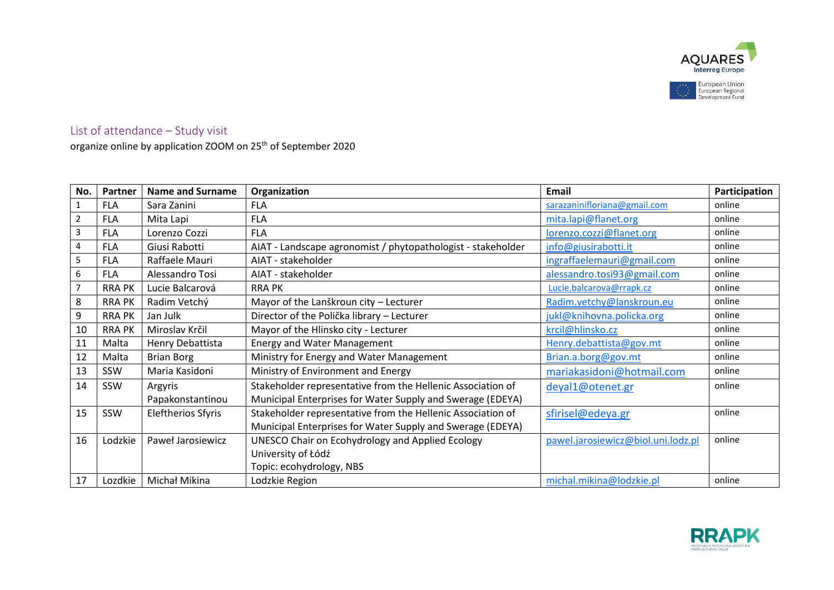

# List of attendance – Study visit

organize online by application ZOOM on 25<sup>th</sup> of September 2020

| No.            | Partner       | <b>Name and Surname</b>   | Organization                                                 | <b>Email</b>                       | Participation |
|----------------|---------------|---------------------------|--------------------------------------------------------------|------------------------------------|---------------|
| 1              | <b>FLA</b>    | Sara Zanini               | <b>FLA</b>                                                   | sarazaninifloriana@gmail.com       | online        |
| $\overline{2}$ | <b>FLA</b>    | Mita Lapi                 | <b>FLA</b>                                                   | mita.lapi@flanet.org               | online        |
| $\mathbf{3}$   | <b>FLA</b>    | Lorenzo Cozzi             | <b>FLA</b>                                                   | lorenzo.cozzi@flanet.org           | online        |
| $\overline{4}$ | <b>FLA</b>    | Giusi Rabotti             | AIAT - Landscape agronomist / phytopathologist - stakeholder | info@giusirabotti.it               | online        |
| 5              | <b>FLA</b>    | Raffaele Mauri            | AIAT - stakeholder                                           | ingraffaelemauri@gmail.com         | online        |
| 6              | <b>FLA</b>    | Alessandro Tosi           | AIAT - stakeholder                                           | alessandro.tosi93@gmail.com        | online        |
| $\overline{7}$ | <b>RRA PK</b> | Lucie Balcarová           | <b>RRA PK</b>                                                | Lucie.balcarova@rrapk.cz           | online        |
| 8              | <b>RRA PK</b> | Radim Vetchý              | Mayor of the Lanškroun city - Lecturer                       | Radim.vetchy@lanskroun.eu          | online        |
| 9              | <b>RRA PK</b> | Jan Julk                  | Director of the Polička library - Lecturer                   | jukl@knihovna.policka.org          | online        |
| 10             | <b>RRA PK</b> | Miroslav Krčil            | Mayor of the Hlinsko city - Lecturer                         | krcil@hlinsko.cz                   | online        |
| 11             | Malta         | Henry Debattista          | <b>Energy and Water Management</b>                           | Henry.debattista@gov.mt            | online        |
| 12             | Malta         | <b>Brian Borg</b>         | Ministry for Energy and Water Management                     | Brian.a.borg@gov.mt                | online        |
| 13             | SSW           | Maria Kasidoni            | Ministry of Environment and Energy                           | mariakasidoni@hotmail.com          | online        |
| 14             | SSW           | Argyris                   | Stakeholder representative from the Hellenic Association of  | deyal1@otenet.gr                   | online        |
|                |               | Papakonstantinou          | Municipal Enterprises for Water Supply and Swerage (EDEYA)   |                                    |               |
| 15             | SSW           | <b>Eleftherios Sfyris</b> | Stakeholder representative from the Hellenic Association of  | sfirisel@edeya.gr                  | online        |
|                |               |                           | Municipal Enterprises for Water Supply and Swerage (EDEYA)   |                                    |               |
| 16             | Lodzkie       | Paweł Jarosiewicz         | UNESCO Chair on Ecohydrology and Applied Ecology             | pawel.jarosiewicz@biol.uni.lodz.pl | online        |
|                |               |                           | University of Łódź                                           |                                    |               |
|                |               |                           | Topic: ecohydrology, NBS                                     |                                    |               |
| 17             | Lozdkie       | Michał Mikina             | Lodzkie Region                                               | michal.mikina@lodzkie.pl           | online        |

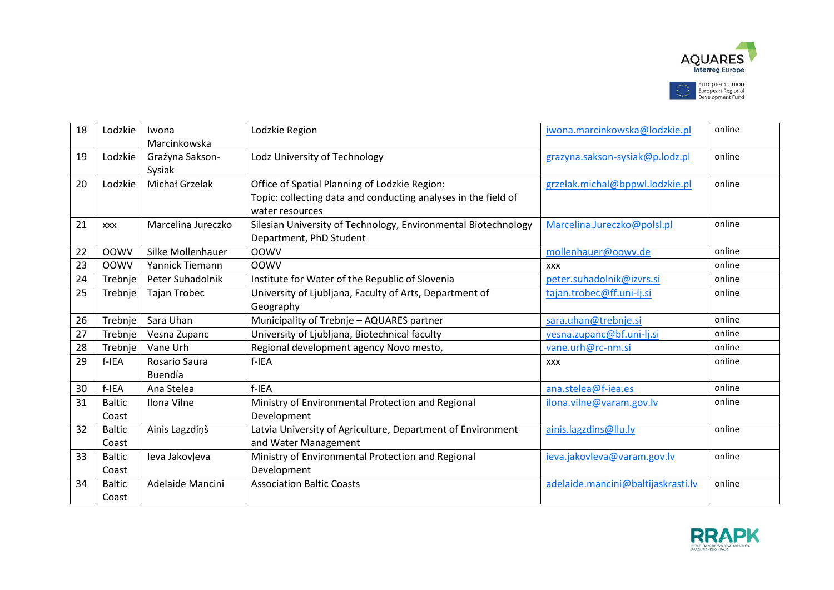



| 18 | Lodzkie       | Iwona                  | Lodzkie Region                                                 | iwona.marcinkowska@lodzkie.pl      | online |
|----|---------------|------------------------|----------------------------------------------------------------|------------------------------------|--------|
|    |               | Marcinkowska           |                                                                |                                    |        |
| 19 | Lodzkie       | Grażyna Sakson-        | Lodz University of Technology                                  | grazyna.sakson-sysiak@p.lodz.pl    | online |
|    |               | Sysiak                 |                                                                |                                    |        |
| 20 | Lodzkie       | <b>Michał Grzelak</b>  | Office of Spatial Planning of Lodzkie Region:                  | grzelak.michal@bppwl.lodzkie.pl    | online |
|    |               |                        | Topic: collecting data and conducting analyses in the field of |                                    |        |
|    |               |                        | water resources                                                |                                    |        |
| 21 | <b>XXX</b>    | Marcelina Jureczko     | Silesian University of Technology, Environmental Biotechnology | Marcelina.Jureczko@polsl.pl        | online |
|    |               |                        | Department, PhD Student                                        |                                    |        |
| 22 | <b>OOWV</b>   | Silke Mollenhauer      | <b>OOWV</b>                                                    | mollenhauer@oowv.de                | online |
| 23 | <b>OOWV</b>   | <b>Yannick Tiemann</b> | <b>OOWV</b>                                                    | <b>XXX</b>                         | online |
| 24 | Trebnje       | Peter Suhadolnik       | Institute for Water of the Republic of Slovenia                | peter.suhadolnik@izvrs.si          | online |
| 25 | Trebnje       | <b>Tajan Trobec</b>    | University of Ljubljana, Faculty of Arts, Department of        | tajan.trobec@ff.uni-lj.si          | online |
|    |               |                        | Geography                                                      |                                    |        |
| 26 | Trebnje       | Sara Uhan              | Municipality of Trebnje - AQUARES partner                      | sara.uhan@trebnje.si               | online |
| 27 | Trebnje       | Vesna Zupanc           | University of Ljubljana, Biotechnical faculty                  | vesna.zupanc@bf.uni-lj.si          | online |
| 28 | Trebnje       | Vane Urh               | Regional development agency Novo mesto,                        | vane.urh@rc-nm.si                  | online |
| 29 | f-IEA         | Rosario Saura          | f-IEA                                                          | <b>XXX</b>                         | online |
|    |               | <b>Buendía</b>         |                                                                |                                    |        |
| 30 | f-IEA         | Ana Stelea             | f-IEA                                                          | ana.stelea@f-iea.es                | online |
| 31 | <b>Baltic</b> | Ilona Vilne            | Ministry of Environmental Protection and Regional              | ilona.vilne@varam.gov.lv           | online |
|    | Coast         |                        | Development                                                    |                                    |        |
| 32 | <b>Baltic</b> | Ainis Lagzdiņš         | Latvia University of Agriculture, Department of Environment    | ainis.lagzdins@llu.lv              | online |
|    | Coast         |                        | and Water Management                                           |                                    |        |
| 33 | <b>Baltic</b> | leva Jakovleva         | Ministry of Environmental Protection and Regional              | ieva.jakovleva@varam.gov.lv        | online |
|    | Coast         |                        | Development                                                    |                                    |        |
| 34 | <b>Baltic</b> | Adelaide Mancini       | <b>Association Baltic Coasts</b>                               | adelaide.mancini@baltijaskrasti.lv | online |
|    | Coast         |                        |                                                                |                                    |        |